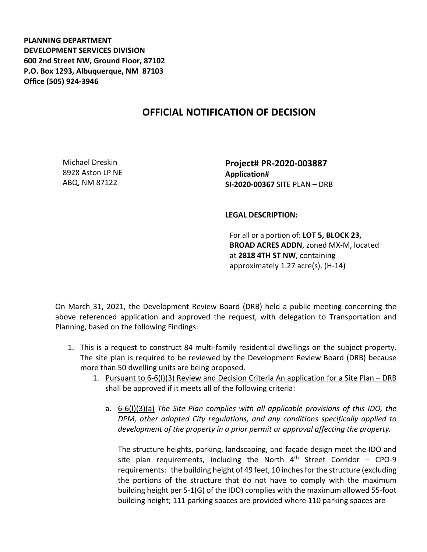**PLANNING DEPARTMENT DEVELOPMENT SERVICES DIVISION 600 2nd Street NW, Ground Floor, 87102 P.O. Box 1293, Albuquerque, NM 87103 Office (505) 924-3946** 

## **OFFICIAL NOTIFICATION OF DECISION**

Michael Dreskin 8928 Aston LP NE ABQ, NM 87122

**Project# PR-2020-003887 Application# SI-2020-00367** SITE PLAN – DRB

## **LEGAL DESCRIPTION:**

For all or a portion of: **LOT 5, BLOCK 23, BROAD ACRES ADDN**, zoned MX-M, located at **2818 4TH ST NW**, containing approximately 1.27 acre(s). (H-14)

On March 31, 2021, the Development Review Board (DRB) held a public meeting concerning the above referenced application and approved the request, with delegation to Transportation and Planning, based on the following Findings:

- 1. This is a request to construct 84 multi-family residential dwellings on the subject property. The site plan is required to be reviewed by the Development Review Board (DRB) because more than 50 dwelling units are being proposed.
	- 1. Pursuant to 6-6(I)(3) Review and Decision Criteria An application for a Site Plan DRB shall be approved if it meets all of the following criteria:
		- a. 6-6(I)(3)(a) *The Site Plan complies with all applicable provisions of this IDO, the DPM, other adopted City regulations, and any conditions specifically applied to development of the property in a prior permit or approval affecting the property.*

The structure heights, parking, landscaping, and façade design meet the IDO and site plan requirements, including the North  $4<sup>th</sup>$  Street Corridor – CPO-9 requirements: the building height of 49 feet, 10 inches for the structure (excluding the portions of the structure that do not have to comply with the maximum building height per 5-1(G) of the IDO) complies with the maximum allowed 55-foot building height; 111 parking spaces are provided where 110 parking spaces are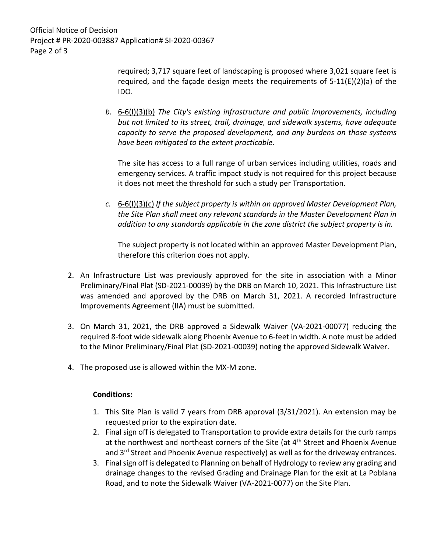Official Notice of Decision Project # PR-2020-003887 Application# SI-2020-00367 Page 2 of 3

> required; 3,717 square feet of landscaping is proposed where 3,021 square feet is required, and the façade design meets the requirements of  $5-11(E)(2)(a)$  of the IDO.

*b.* 6-6(I)(3)(b) *The City's existing infrastructure and public improvements, including but not limited to its street, trail, drainage, and sidewalk systems, have adequate capacity to serve the proposed development, and any burdens on those systems have been mitigated to the extent practicable.* 

The site has access to a full range of urban services including utilities, roads and emergency services. A traffic impact study is not required for this project because it does not meet the threshold for such a study per Transportation.

*c.* 6-6(I)(3)(c) *If the subject property is within an approved Master Development Plan, the Site Plan shall meet any relevant standards in the Master Development Plan in addition to any standards applicable in the zone district the subject property is in.*

The subject property is not located within an approved Master Development Plan, therefore this criterion does not apply.

- 2. An Infrastructure List was previously approved for the site in association with a Minor Preliminary/Final Plat (SD-2021-00039) by the DRB on March 10, 2021. This Infrastructure List was amended and approved by the DRB on March 31, 2021. A recorded Infrastructure Improvements Agreement (IIA) must be submitted.
- 3. On March 31, 2021, the DRB approved a Sidewalk Waiver (VA-2021-00077) reducing the required 8-foot wide sidewalk along Phoenix Avenue to 6-feet in width. A note must be added to the Minor Preliminary/Final Plat (SD-2021-00039) noting the approved Sidewalk Waiver.
- 4. The proposed use is allowed within the MX-M zone.

## **Conditions:**

- 1. This Site Plan is valid 7 years from DRB approval (3/31/2021). An extension may be requested prior to the expiration date.
- 2. Final sign off is delegated to Transportation to provide extra details for the curb ramps at the northwest and northeast corners of the Site (at  $4<sup>th</sup>$  Street and Phoenix Avenue and 3<sup>rd</sup> Street and Phoenix Avenue respectively) as well as for the driveway entrances.
- 3. Final sign off is delegated to Planning on behalf of Hydrology to review any grading and drainage changes to the revised Grading and Drainage Plan for the exit at La Poblana Road, and to note the Sidewalk Waiver (VA-2021-0077) on the Site Plan.